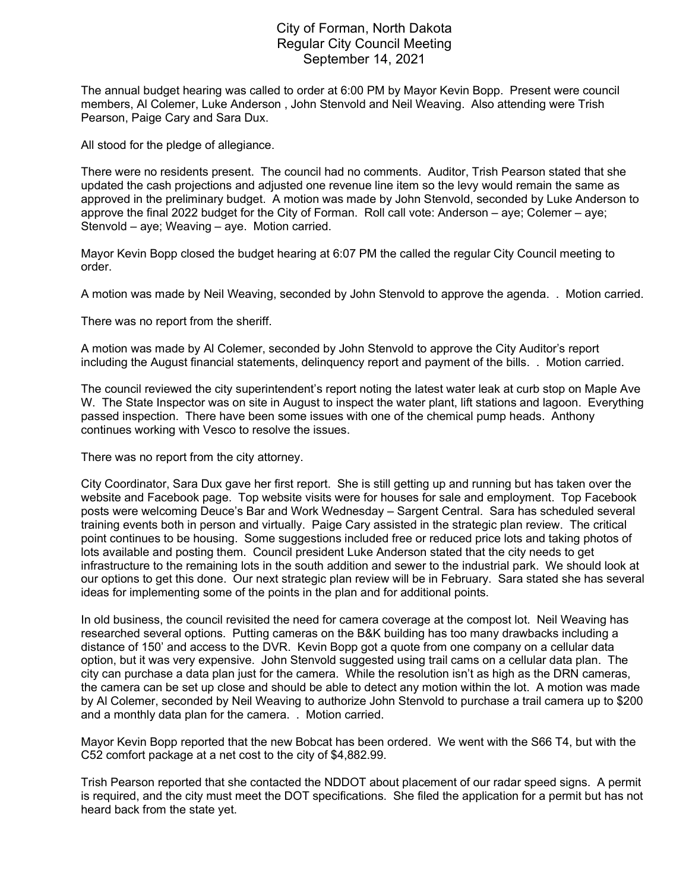## City of Forman, North Dakota Regular City Council Meeting September 14, 2021

The annual budget hearing was called to order at 6:00 PM by Mayor Kevin Bopp. Present were council members, Al Colemer, Luke Anderson , John Stenvold and Neil Weaving. Also attending were Trish Pearson, Paige Cary and Sara Dux.

All stood for the pledge of allegiance.

There were no residents present. The council had no comments. Auditor, Trish Pearson stated that she updated the cash projections and adjusted one revenue line item so the levy would remain the same as approved in the preliminary budget. A motion was made by John Stenvold, seconded by Luke Anderson to approve the final 2022 budget for the City of Forman. Roll call vote: Anderson – aye; Colemer – aye; Stenvold – aye; Weaving – aye. Motion carried.

Mayor Kevin Bopp closed the budget hearing at 6:07 PM the called the regular City Council meeting to order.

A motion was made by Neil Weaving, seconded by John Stenvold to approve the agenda. . Motion carried.

There was no report from the sheriff.

A motion was made by Al Colemer, seconded by John Stenvold to approve the City Auditor's report including the August financial statements, delinquency report and payment of the bills. . Motion carried.

The council reviewed the city superintendent's report noting the latest water leak at curb stop on Maple Ave W. The State Inspector was on site in August to inspect the water plant, lift stations and lagoon. Everything passed inspection. There have been some issues with one of the chemical pump heads. Anthony continues working with Vesco to resolve the issues.

There was no report from the city attorney.

City Coordinator, Sara Dux gave her first report. She is still getting up and running but has taken over the website and Facebook page. Top website visits were for houses for sale and employment. Top Facebook posts were welcoming Deuce's Bar and Work Wednesday – Sargent Central. Sara has scheduled several training events both in person and virtually. Paige Cary assisted in the strategic plan review. The critical point continues to be housing. Some suggestions included free or reduced price lots and taking photos of lots available and posting them. Council president Luke Anderson stated that the city needs to get infrastructure to the remaining lots in the south addition and sewer to the industrial park. We should look at our options to get this done. Our next strategic plan review will be in February. Sara stated she has several ideas for implementing some of the points in the plan and for additional points.

In old business, the council revisited the need for camera coverage at the compost lot. Neil Weaving has researched several options. Putting cameras on the B&K building has too many drawbacks including a distance of 150' and access to the DVR. Kevin Bopp got a quote from one company on a cellular data option, but it was very expensive. John Stenvold suggested using trail cams on a cellular data plan. The city can purchase a data plan just for the camera. While the resolution isn't as high as the DRN cameras, the camera can be set up close and should be able to detect any motion within the lot. A motion was made by Al Colemer, seconded by Neil Weaving to authorize John Stenvold to purchase a trail camera up to \$200 and a monthly data plan for the camera. . Motion carried.

Mayor Kevin Bopp reported that the new Bobcat has been ordered. We went with the S66 T4, but with the C52 comfort package at a net cost to the city of \$4,882.99.

Trish Pearson reported that she contacted the NDDOT about placement of our radar speed signs. A permit is required, and the city must meet the DOT specifications. She filed the application for a permit but has not heard back from the state yet.